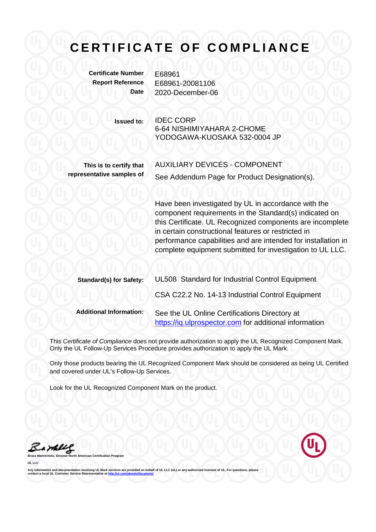## **CERTIFICATE OF COMPLIANCE**

**Certificate Number** E68961

**Report Reference** E68961-20081106 **Date** 2020-December-06

> **Issued to:** IDEC CORP 6-64 NISHIMIYAHARA 2-CHOME YODOGAWA-KUOSAKA 532-0004 JP

**This is to certify that representative samples of** AUXILIARY DEVICES - COMPONENT See Addendum Page for Product Designation(s).

Have been investigated by UL in accordance with the component requirements in the Standard(s) indicated on this Certificate. UL Recognized components are incomplete in certain constructional features or restricted in performance capabilities and are intended for installation in complete equipment submitted for investigation to UL LLC.

| <b>Standard(s) for Safety:</b> | UL508 Standard for Industrial Control Equipment                                                         |
|--------------------------------|---------------------------------------------------------------------------------------------------------|
|                                | CSA C22.2 No. 14-13 Industrial Control Equipment                                                        |
| <b>Additional Information:</b> | See the UL Online Certifications Directory at<br>https://iq.ulprospector.com for additional information |

This *Certificate of Compliance* does not provide authorization to apply the UL Recognized Component Mark. Only the UL Follow-Up Services Procedure provides authorization to apply the UL Mark.

Only those products bearing the UL Recognized Component Mark should be considered as being UL Certified and covered under UL's Follow-Up Services.

Look for the UL Recognized Component Mark on the product.

**Broard UL LLC** 

Any information and documentation involving UL Mark services are provided on behalf of UL LLC (UL) or any authorized licensee of UL. For questions, please<br>contact a local UL Customer Service Representative at <u>http://ul.co</u>